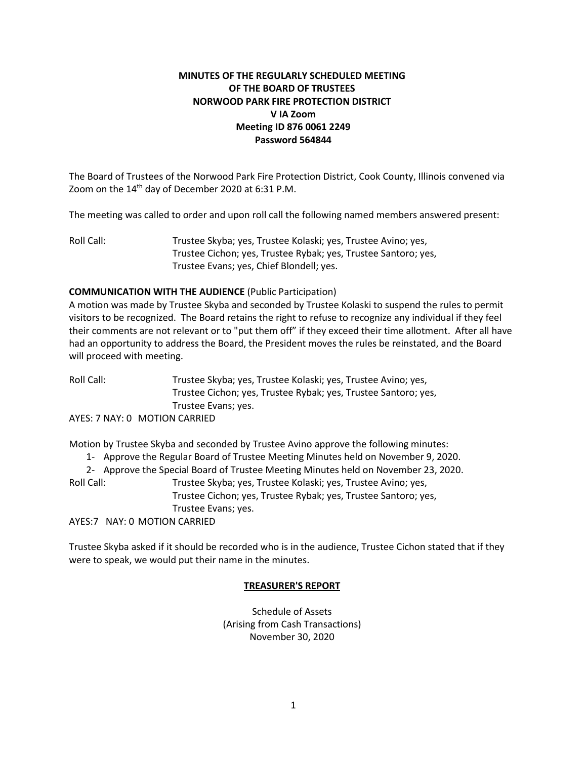## **MINUTES OF THE REGULARLY SCHEDULED MEETING OF THE BOARD OF TRUSTEES NORWOOD PARK FIRE PROTECTION DISTRICT V IA Zoom Meeting ID 876 0061 2249 Password 564844**

The Board of Trustees of the Norwood Park Fire Protection District, Cook County, Illinois convened via Zoom on the  $14<sup>th</sup>$  day of December 2020 at 6:31 P.M.

The meeting was called to order and upon roll call the following named members answered present:

Roll Call: Trustee Skyba; yes, Trustee Kolaski; yes, Trustee Avino; yes, Trustee Cichon; yes, Trustee Rybak; yes, Trustee Santoro; yes, Trustee Evans; yes, Chief Blondell; yes.

## **COMMUNICATION WITH THE AUDIENCE** (Public Participation)

A motion was made by Trustee Skyba and seconded by Trustee Kolaski to suspend the rules to permit visitors to be recognized. The Board retains the right to refuse to recognize any individual if they feel their comments are not relevant or to "put them off" if they exceed their time allotment. After all have had an opportunity to address the Board, the President moves the rules be reinstated, and the Board will proceed with meeting.

Roll Call: Trustee Skyba; yes, Trustee Kolaski; yes, Trustee Avino; yes, Trustee Cichon; yes, Trustee Rybak; yes, Trustee Santoro; yes, Trustee Evans; yes.

AYES: 7 NAY: 0 MOTION CARRIED

Motion by Trustee Skyba and seconded by Trustee Avino approve the following minutes:

- 1- Approve the Regular Board of Trustee Meeting Minutes held on November 9, 2020.
- 2- Approve the Special Board of Trustee Meeting Minutes held on November 23, 2020.

Roll Call: Trustee Skyba; yes, Trustee Kolaski; yes, Trustee Avino; yes, Trustee Cichon; yes, Trustee Rybak; yes, Trustee Santoro; yes,

Trustee Evans; yes.

AYES:7 NAY: 0 MOTION CARRIED

Trustee Skyba asked if it should be recorded who is in the audience, Trustee Cichon stated that if they were to speak, we would put their name in the minutes.

## **TREASURER'S REPORT**

Schedule of Assets (Arising from Cash Transactions) November 30, 2020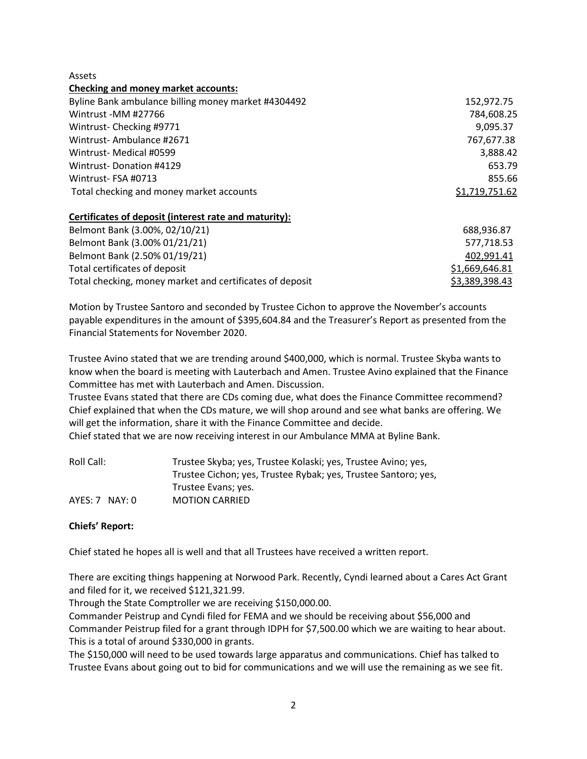Assets

#### **Checking and money market accounts:**

| Byline Bank ambulance billing money market #4304492 | 152,972.75     |
|-----------------------------------------------------|----------------|
| Wintrust -MM #27766                                 | 784,608.25     |
| Wintrust-Checking #9771                             | 9,095.37       |
| Wintrust-Ambulance #2671                            | 767,677.38     |
| Wintrust-Medical #0599                              | 3,888.42       |
| Wintrust-Donation #4129                             | 653.79         |
| Wintrust-FSA #0713                                  | 855.66         |
| Total checking and money market accounts            | \$1,719,751.62 |
|                                                     |                |

#### **Certificates of deposit (interest rate and maturity):**

| Belmont Bank (3.00%, 02/10/21)                           | 688.936.87     |
|----------------------------------------------------------|----------------|
| Belmont Bank (3.00% 01/21/21)                            | 577,718.53     |
| Belmont Bank (2.50% 01/19/21)                            | 402.991.41     |
| Total certificates of deposit                            | \$1,669,646.81 |
| Total checking, money market and certificates of deposit | \$3,389,398.43 |

Motion by Trustee Santoro and seconded by Trustee Cichon to approve the November's accounts payable expenditures in the amount of \$395,604.84 and the Treasurer's Report as presented from the Financial Statements for November 2020.

Trustee Avino stated that we are trending around \$400,000, which is normal. Trustee Skyba wants to know when the board is meeting with Lauterbach and Amen. Trustee Avino explained that the Finance Committee has met with Lauterbach and Amen. Discussion.

Trustee Evans stated that there are CDs coming due, what does the Finance Committee recommend? Chief explained that when the CDs mature, we will shop around and see what banks are offering. We will get the information, share it with the Finance Committee and decide.

Chief stated that we are now receiving interest in our Ambulance MMA at Byline Bank.

| Roll Call:       | Trustee Skyba; yes, Trustee Kolaski; yes, Trustee Avino; yes,  |  |
|------------------|----------------------------------------------------------------|--|
|                  | Trustee Cichon; yes, Trustee Rybak; yes, Trustee Santoro; yes, |  |
|                  | Trustee Evans; yes.                                            |  |
| $AYES: 7$ NAY: 0 | <b>MOTION CARRIED</b>                                          |  |

## **Chiefs' Report:**

Chief stated he hopes all is well and that all Trustees have received a written report.

There are exciting things happening at Norwood Park. Recently, Cyndi learned about a Cares Act Grant and filed for it, we received \$121,321.99.

Through the State Comptroller we are receiving \$150,000.00.

Commander Peistrup and Cyndi filed for FEMA and we should be receiving about \$56,000 and Commander Peistrup filed for a grant through IDPH for \$7,500.00 which we are waiting to hear about. This is a total of around \$330,000 in grants.

The \$150,000 will need to be used towards large apparatus and communications. Chief has talked to Trustee Evans about going out to bid for communications and we will use the remaining as we see fit.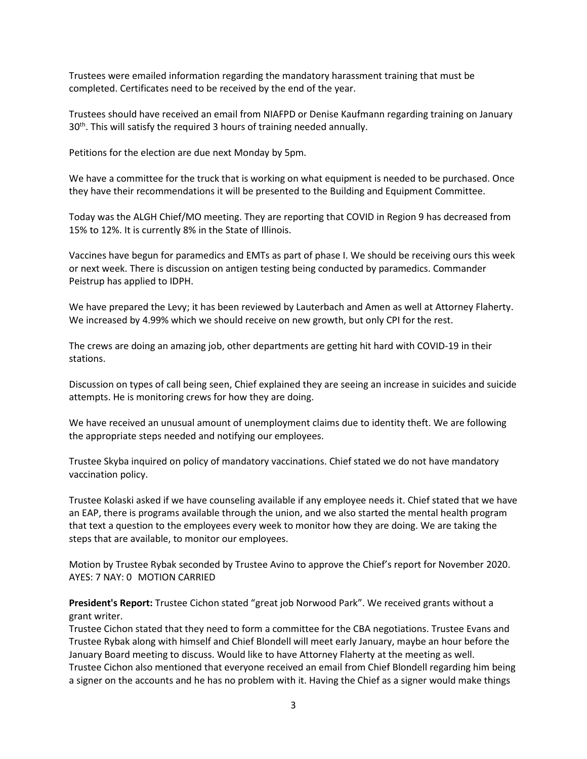Trustees were emailed information regarding the mandatory harassment training that must be completed. Certificates need to be received by the end of the year.

Trustees should have received an email from NIAFPD or Denise Kaufmann regarding training on January 30<sup>th</sup>. This will satisfy the required 3 hours of training needed annually.

Petitions for the election are due next Monday by 5pm.

We have a committee for the truck that is working on what equipment is needed to be purchased. Once they have their recommendations it will be presented to the Building and Equipment Committee.

Today was the ALGH Chief/MO meeting. They are reporting that COVID in Region 9 has decreased from 15% to 12%. It is currently 8% in the State of Illinois.

Vaccines have begun for paramedics and EMTs as part of phase I. We should be receiving ours this week or next week. There is discussion on antigen testing being conducted by paramedics. Commander Peistrup has applied to IDPH.

We have prepared the Levy; it has been reviewed by Lauterbach and Amen as well at Attorney Flaherty. We increased by 4.99% which we should receive on new growth, but only CPI for the rest.

The crews are doing an amazing job, other departments are getting hit hard with COVID-19 in their stations.

Discussion on types of call being seen, Chief explained they are seeing an increase in suicides and suicide attempts. He is monitoring crews for how they are doing.

We have received an unusual amount of unemployment claims due to identity theft. We are following the appropriate steps needed and notifying our employees.

Trustee Skyba inquired on policy of mandatory vaccinations. Chief stated we do not have mandatory vaccination policy.

Trustee Kolaski asked if we have counseling available if any employee needs it. Chief stated that we have an EAP, there is programs available through the union, and we also started the mental health program that text a question to the employees every week to monitor how they are doing. We are taking the steps that are available, to monitor our employees.

Motion by Trustee Rybak seconded by Trustee Avino to approve the Chief's report for November 2020. AYES: 7 NAY: 0 MOTION CARRIED

**President's Report:** Trustee Cichon stated "great job Norwood Park". We received grants without a grant writer.

Trustee Cichon stated that they need to form a committee for the CBA negotiations. Trustee Evans and Trustee Rybak along with himself and Chief Blondell will meet early January, maybe an hour before the January Board meeting to discuss. Would like to have Attorney Flaherty at the meeting as well. Trustee Cichon also mentioned that everyone received an email from Chief Blondell regarding him being a signer on the accounts and he has no problem with it. Having the Chief as a signer would make things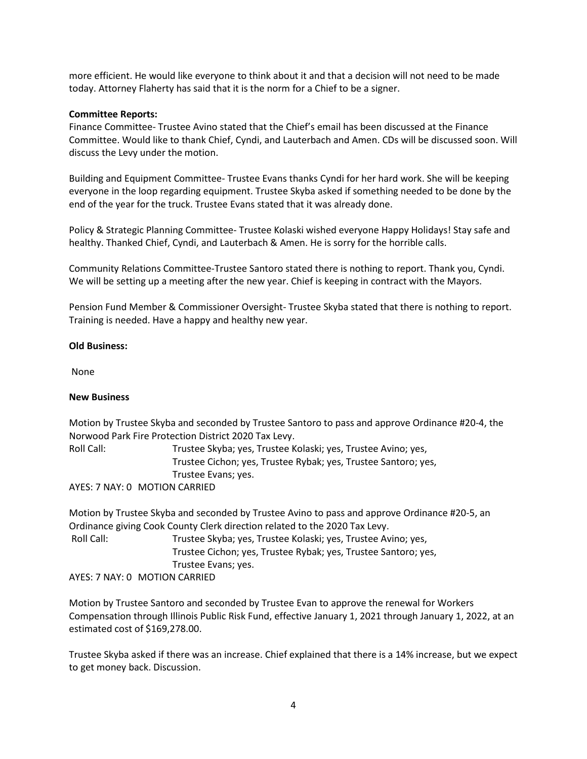more efficient. He would like everyone to think about it and that a decision will not need to be made today. Attorney Flaherty has said that it is the norm for a Chief to be a signer.

#### **Committee Reports:**

Finance Committee- Trustee Avino stated that the Chief's email has been discussed at the Finance Committee. Would like to thank Chief, Cyndi, and Lauterbach and Amen. CDs will be discussed soon. Will discuss the Levy under the motion.

Building and Equipment Committee- Trustee Evans thanks Cyndi for her hard work. She will be keeping everyone in the loop regarding equipment. Trustee Skyba asked if something needed to be done by the end of the year for the truck. Trustee Evans stated that it was already done.

Policy & Strategic Planning Committee- Trustee Kolaski wished everyone Happy Holidays! Stay safe and healthy. Thanked Chief, Cyndi, and Lauterbach & Amen. He is sorry for the horrible calls.

Community Relations Committee-Trustee Santoro stated there is nothing to report. Thank you, Cyndi. We will be setting up a meeting after the new year. Chief is keeping in contract with the Mayors.

Pension Fund Member & Commissioner Oversight- Trustee Skyba stated that there is nothing to report. Training is needed. Have a happy and healthy new year.

#### **Old Business:**

None

## **New Business**

Motion by Trustee Skyba and seconded by Trustee Santoro to pass and approve Ordinance #20-4, the Norwood Park Fire Protection District 2020 Tax Levy.

Roll Call: Trustee Skyba; yes, Trustee Kolaski; yes, Trustee Avino; yes, Trustee Cichon; yes, Trustee Rybak; yes, Trustee Santoro; yes, Trustee Evans; yes.

AYES: 7 NAY: 0 MOTION CARRIED

Motion by Trustee Skyba and seconded by Trustee Avino to pass and approve Ordinance #20-5, an Ordinance giving Cook County Clerk direction related to the 2020 Tax Levy.

Roll Call: Trustee Skyba; yes, Trustee Kolaski; yes, Trustee Avino; yes, Trustee Cichon; yes, Trustee Rybak; yes, Trustee Santoro; yes, Trustee Evans; yes. AYES: 7 NAY: 0 MOTION CARRIED

Motion by Trustee Santoro and seconded by Trustee Evan to approve the renewal for Workers Compensation through Illinois Public Risk Fund, effective January 1, 2021 through January 1, 2022, at an estimated cost of \$169,278.00.

Trustee Skyba asked if there was an increase. Chief explained that there is a 14% increase, but we expect to get money back. Discussion.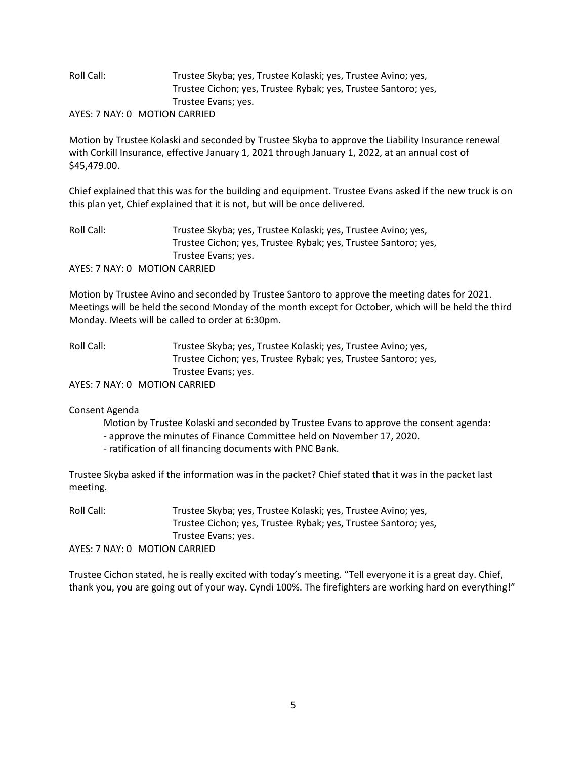# Roll Call: Trustee Skyba; yes, Trustee Kolaski; yes, Trustee Avino; yes, Trustee Cichon; yes, Trustee Rybak; yes, Trustee Santoro; yes, Trustee Evans; yes.

AYES: 7 NAY: 0 MOTION CARRIED

Motion by Trustee Kolaski and seconded by Trustee Skyba to approve the Liability Insurance renewal with Corkill Insurance, effective January 1, 2021 through January 1, 2022, at an annual cost of \$45,479.00.

Chief explained that this was for the building and equipment. Trustee Evans asked if the new truck is on this plan yet, Chief explained that it is not, but will be once delivered.

| Roll Call: | Trustee Skyba; yes, Trustee Kolaski; yes, Trustee Avino; yes,  |  |
|------------|----------------------------------------------------------------|--|
|            | Trustee Cichon; yes, Trustee Rybak; yes, Trustee Santoro; yes, |  |
|            | Trustee Evans; yes.                                            |  |
|            | AYES: 7 NAY: 0 MOTION CARRIED                                  |  |

Motion by Trustee Avino and seconded by Trustee Santoro to approve the meeting dates for 2021. Meetings will be held the second Monday of the month except for October, which will be held the third Monday. Meets will be called to order at 6:30pm.

Roll Call: Trustee Skyba; yes, Trustee Kolaski; yes, Trustee Avino; yes, Trustee Cichon; yes, Trustee Rybak; yes, Trustee Santoro; yes, Trustee Evans; yes.

AYES: 7 NAY: 0 MOTION CARRIED

Consent Agenda

Motion by Trustee Kolaski and seconded by Trustee Evans to approve the consent agenda:

- approve the minutes of Finance Committee held on November 17, 2020.
- ratification of all financing documents with PNC Bank.

Trustee Skyba asked if the information was in the packet? Chief stated that it was in the packet last meeting.

Roll Call: Trustee Skyba; yes, Trustee Kolaski; yes, Trustee Avino; yes, Trustee Cichon; yes, Trustee Rybak; yes, Trustee Santoro; yes, Trustee Evans; yes.

AYES: 7 NAY: 0 MOTION CARRIED

Trustee Cichon stated, he is really excited with today's meeting. "Tell everyone it is a great day. Chief, thank you, you are going out of your way. Cyndi 100%. The firefighters are working hard on everything!"